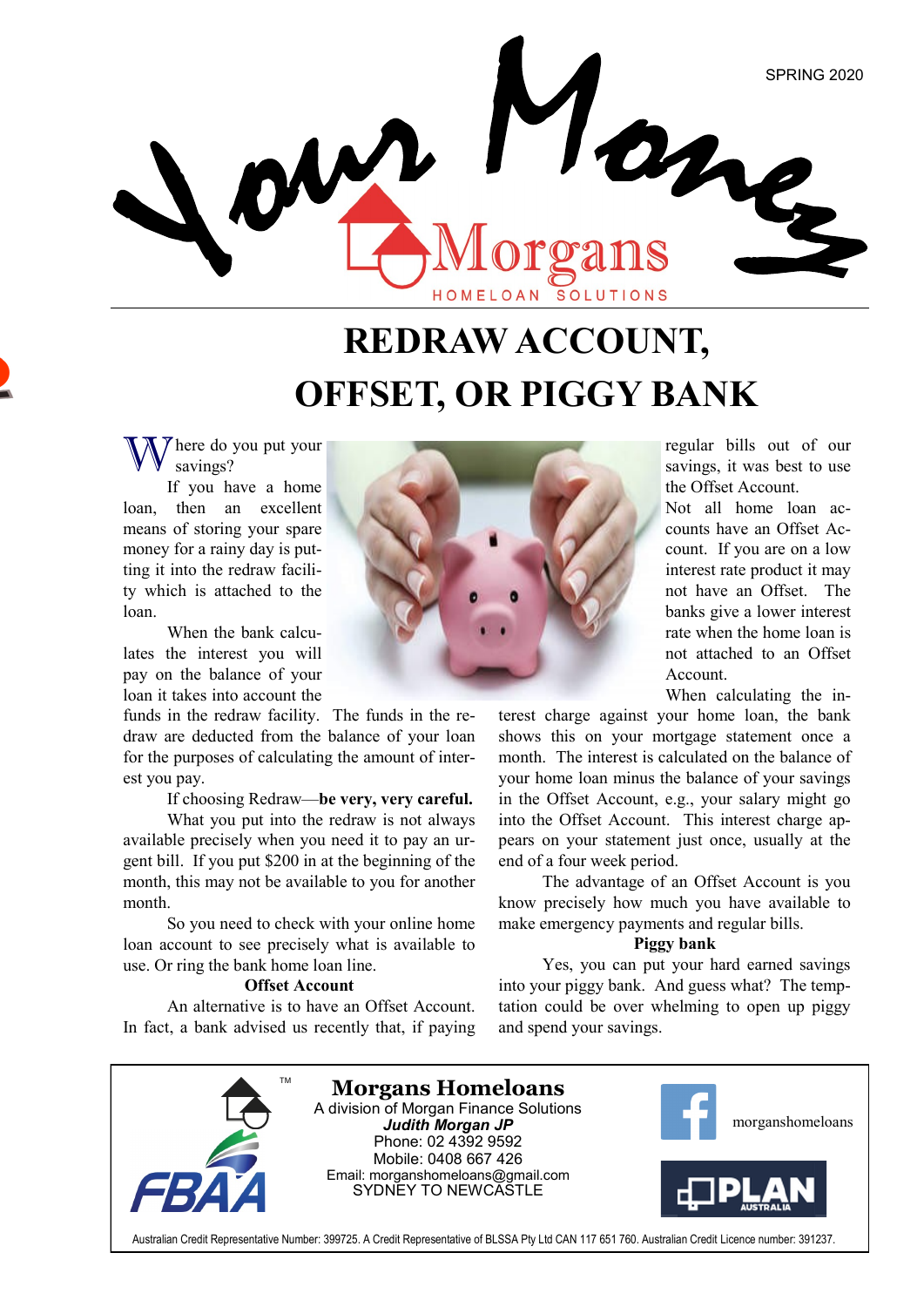

# **REDRAW ACCOUNT, OFFSET, OR PIGGY BANK**

 $\gamma$  here do you put your savings?

If you have a home loan, then an excellent means of storing your spare money for a rainy day is putting it into the redraw facility which is attached to the loan.

When the bank calculates the interest you will pay on the balance of your loan it takes into account the

funds in the redraw facility. The funds in the redraw are deducted from the balance of your loan for the purposes of calculating the amount of interest you pay.

If choosing Redraw—**be very, very careful.**

What you put into the redraw is not always available precisely when you need it to pay an urgent bill. If you put \$200 in at the beginning of the month, this may not be available to you for another month.

So you need to check with your online home loan account to see precisely what is available to use. Or ring the bank home loan line.

### **Offset Account**

An alternative is to have an Offset Account. In fact, a bank advised us recently that, if paying



regular bills out of our savings, it was best to use the Offset Account.

Not all home loan accounts have an Offset Account. If you are on a low interest rate product it may not have an Offset. The banks give a lower interest rate when the home loan is not attached to an Offset Account.

When calculating the in-

terest charge against your home loan, the bank shows this on your mortgage statement once a month. The interest is calculated on the balance of your home loan minus the balance of your savings in the Offset Account, e.g., your salary might go into the Offset Account. This interest charge appears on your statement just once, usually at the end of a four week period.

The advantage of an Offset Account is you know precisely how much you have available to make emergency payments and regular bills.

### **Piggy bank**

Yes, you can put your hard earned savings into your piggy bank. And guess what? The temptation could be over whelming to open up piggy and spend your savings.



Australian Credit Representative Number: 399725. A Credit Representative of BLSSA Pty Ltd CAN 117 651 760. Australian Credit Licence number: 391237.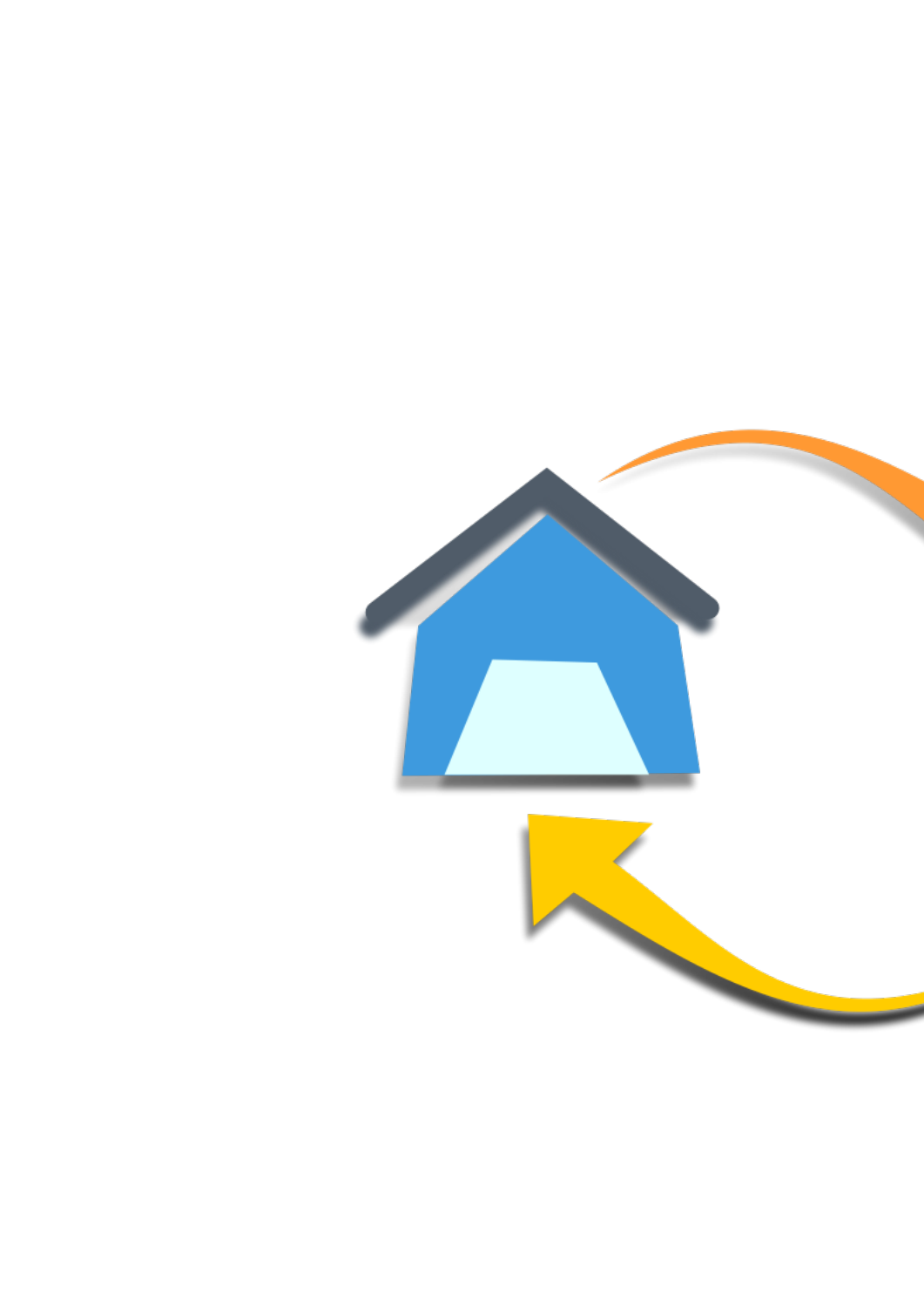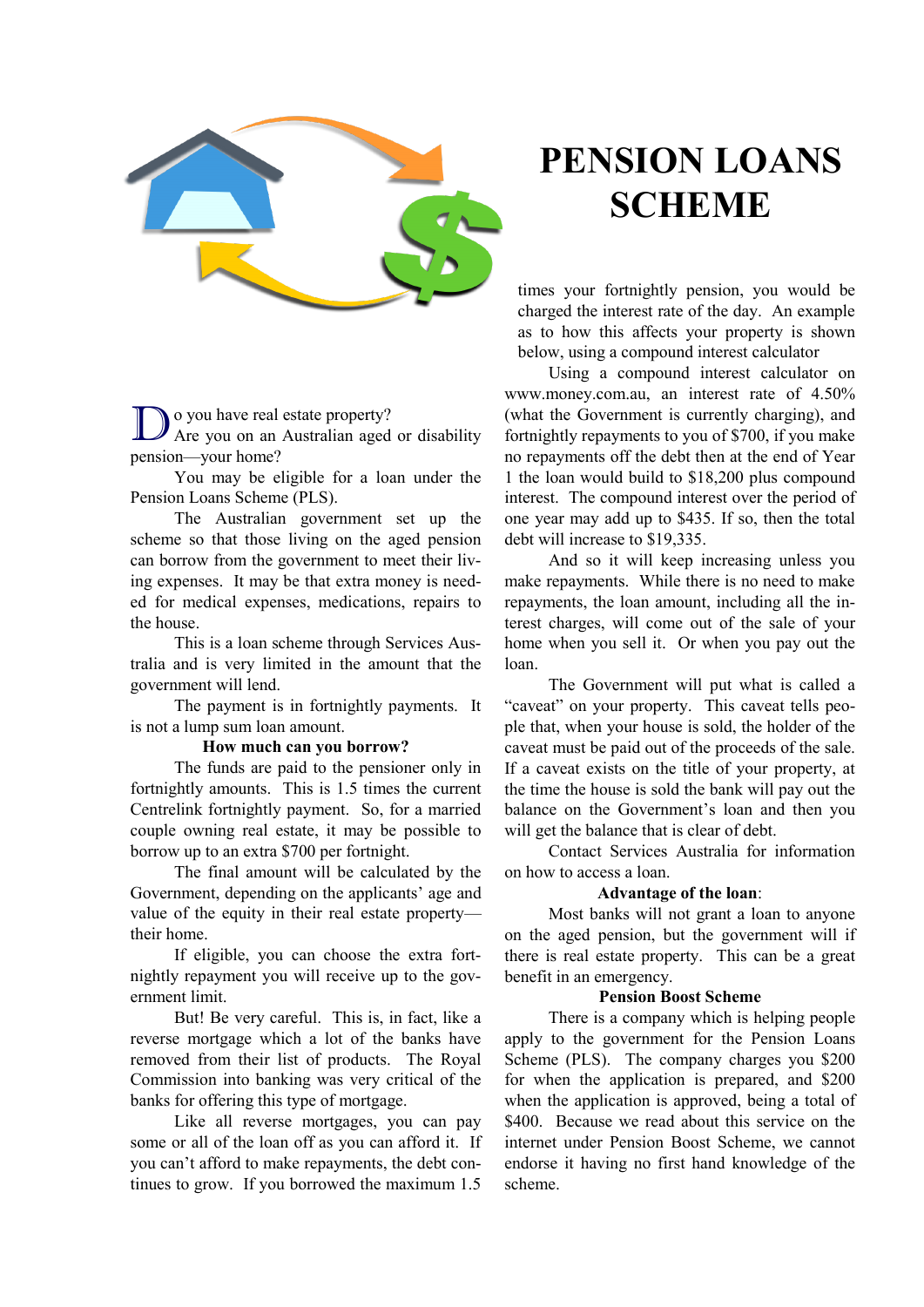

Do you have real estate property? Are you on an Australian aged or disability pension—your home?

You may be eligible for a loan under the Pension Loans Scheme (PLS).

The Australian government set up the scheme so that those living on the aged pension can borrow from the government to meet their living expenses. It may be that extra money is needed for medical expenses, medications, repairs to the house.

This is a loan scheme through Services Australia and is very limited in the amount that the government will lend.

The payment is in fortnightly payments. It is not a lump sum loan amount.

### **How much can you borrow?**

The funds are paid to the pensioner only in fortnightly amounts. This is 1.5 times the current Centrelink fortnightly payment. So, for a married couple owning real estate, it may be possible to borrow up to an extra \$700 per fortnight.

The final amount will be calculated by the Government, depending on the applicants' age and value of the equity in their real estate property their home.

If eligible, you can choose the extra fortnightly repayment you will receive up to the government limit.

But! Be very careful. This is, in fact, like a reverse mortgage which a lot of the banks have removed from their list of products. The Royal Commission into banking was very critical of the banks for offering this type of mortgage.

Like all reverse mortgages, you can pay some or all of the loan off as you can afford it. If you can't afford to make repayments, the debt continues to grow. If you borrowed the maximum 1.5

# **PENSION LOANS SCHEME**

times your fortnightly pension, you would be charged the interest rate of the day. An example as to how this affects your property is shown below, using a compound interest calculator

Using a compound interest calculator on www.money.com.au, an interest rate of 4.50% (what the Government is currently charging), and fortnightly repayments to you of \$700, if you make no repayments off the debt then at the end of Year 1 the loan would build to \$18,200 plus compound interest. The compound interest over the period of one year may add up to \$435. If so, then the total debt will increase to \$19,335.

And so it will keep increasing unless you make repayments. While there is no need to make repayments, the loan amount, including all the interest charges, will come out of the sale of your home when you sell it. Or when you pay out the loan.

The Government will put what is called a "caveat" on your property. This caveat tells people that, when your house is sold, the holder of the caveat must be paid out of the proceeds of the sale. If a caveat exists on the title of your property, at the time the house is sold the bank will pay out the balance on the Government's loan and then you will get the balance that is clear of debt.

Contact Services Australia for information on how to access a loan.

### **Advantage of the loan**:

Most banks will not grant a loan to anyone on the aged pension, but the government will if there is real estate property. This can be a great benefit in an emergency.

### **Pension Boost Scheme**

There is a company which is helping people apply to the government for the Pension Loans Scheme (PLS). The company charges you \$200 for when the application is prepared, and \$200 when the application is approved, being a total of \$400. Because we read about this service on the internet under Pension Boost Scheme, we cannot endorse it having no first hand knowledge of the scheme.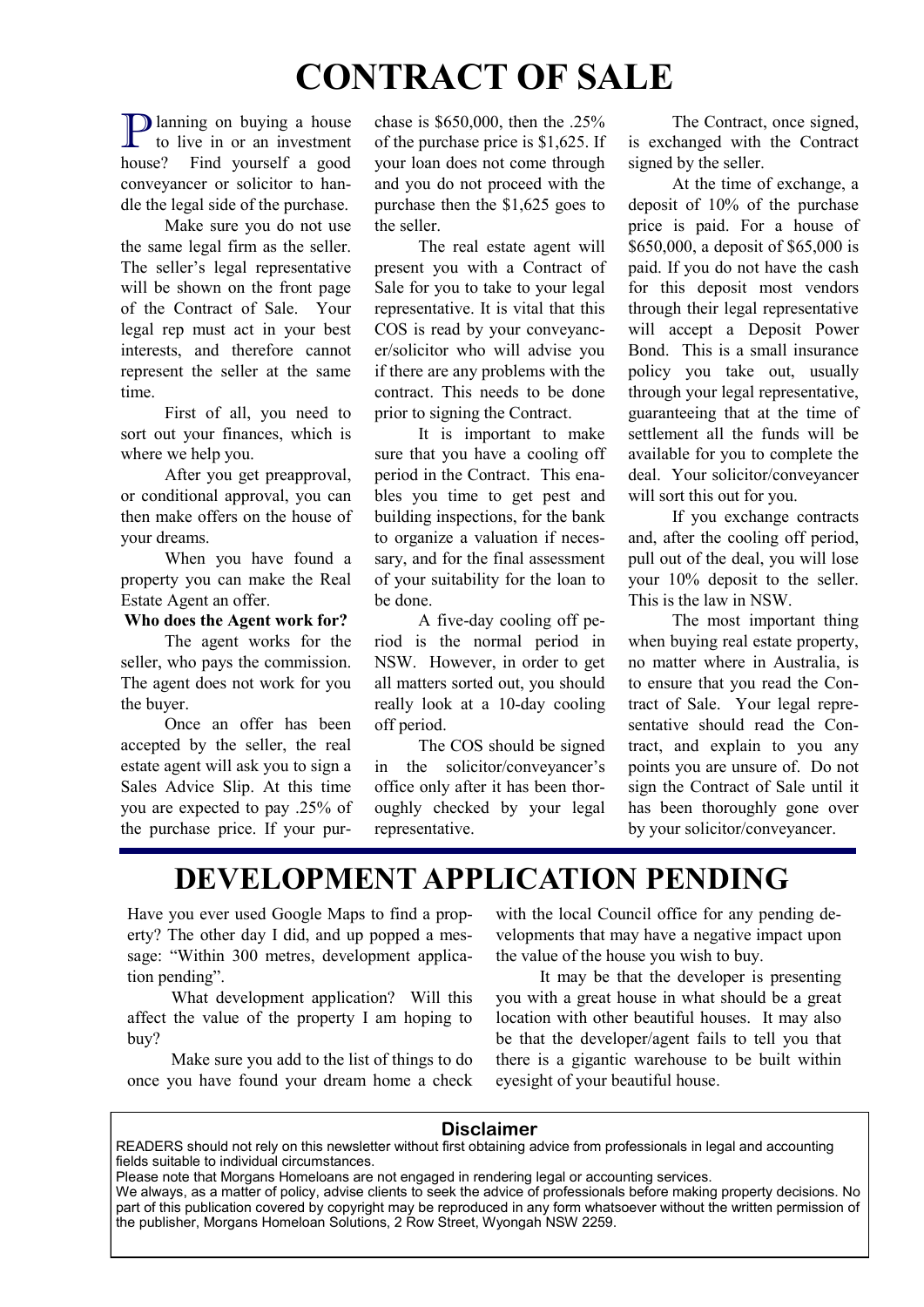# **CONTRACT OF SALE**

**P** lanning on buying a house to live in or an investment lanning on buying a house house? Find yourself a good conveyancer or solicitor to handle the legal side of the purchase.

Make sure you do not use the same legal firm as the seller. The seller's legal representative will be shown on the front page of the Contract of Sale. Your legal rep must act in your best interests, and therefore cannot represent the seller at the same time.

First of all, you need to sort out your finances, which is where we help you.

After you get preapproval, or conditional approval, you can then make offers on the house of your dreams.

When you have found a property you can make the Real Estate Agent an offer.

#### **Who does the Agent work for?**

The agent works for the seller, who pays the commission. The agent does not work for you the buyer.

Once an offer has been accepted by the seller, the real estate agent will ask you to sign a Sales Advice Slip. At this time you are expected to pay .25% of the purchase price. If your purchase is \$650,000, then the .25% of the purchase price is \$1,625. If your loan does not come through and you do not proceed with the purchase then the \$1,625 goes to the seller.

The real estate agent will present you with a Contract of Sale for you to take to your legal representative. It is vital that this COS is read by your conveyancer/solicitor who will advise you if there are any problems with the contract. This needs to be done prior to signing the Contract.

It is important to make sure that you have a cooling off period in the Contract. This enables you time to get pest and building inspections, for the bank to organize a valuation if necessary, and for the final assessment of your suitability for the loan to be done.

A five-day cooling off period is the normal period in NSW. However, in order to get all matters sorted out, you should really look at a 10-day cooling off period.

The COS should be signed in the solicitor/conveyancer's office only after it has been thoroughly checked by your legal representative.

The Contract, once signed, is exchanged with the Contract signed by the seller.

At the time of exchange, a deposit of 10% of the purchase price is paid. For a house of \$650,000, a deposit of \$65,000 is paid. If you do not have the cash for this deposit most vendors through their legal representative will accept a Deposit Power Bond. This is a small insurance policy you take out, usually through your legal representative, guaranteeing that at the time of settlement all the funds will be available for you to complete the deal. Your solicitor/conveyancer will sort this out for you.

If you exchange contracts and, after the cooling off period, pull out of the deal, you will lose your 10% deposit to the seller. This is the law in NSW.

The most important thing when buying real estate property, no matter where in Australia, is to ensure that you read the Contract of Sale. Your legal representative should read the Contract, and explain to you any points you are unsure of. Do not sign the Contract of Sale until it has been thoroughly gone over by your solicitor/conveyancer.

## **DEVELOPMENT APPLICATION PENDING**

Have you ever used Google Maps to find a property? The other day I did, and up popped a message: "Within 300 metres, development application pending".

What development application? Will this affect the value of the property I am hoping to buy?

Make sure you add to the list of things to do once you have found your dream home a check with the local Council office for any pending developments that may have a negative impact upon the value of the house you wish to buy.

It may be that the developer is presenting you with a great house in what should be a great location with other beautiful houses. It may also be that the developer/agent fails to tell you that there is a gigantic warehouse to be built within eyesight of your beautiful house.

### **Disclaimer**

READERS should not rely on this newsletter without first obtaining advice from professionals in legal and accounting fields suitable to individual circumstances.

Please note that Morgans Homeloans are not engaged in rendering legal or accounting services.

We always, as a matter of policy, advise clients to seek the advice of professionals before making property decisions. No part of this publication covered by copyright may be reproduced in any form whatsoever without the written permission of the publisher, Morgans Homeloan Solutions, 2 Row Street, Wyongah NSW 2259.